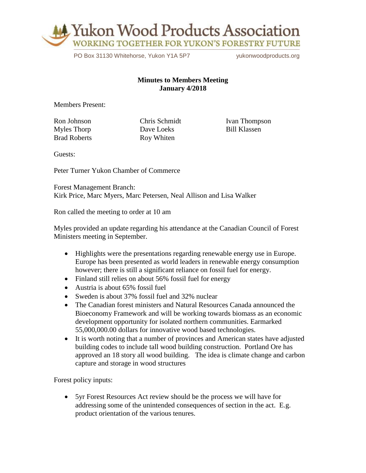

PO Box 31130 Whitehorse, Yukon Y1A 5P7 vukonwoodproducts.org

## **Minutes to Members Meeting January 4/2018**

Members Present:

Brad Roberts **Roy Whiten** 

Myles Thorp **Dave Loeks** Bill Klassen

Ron Johnson Chris Schmidt Ivan Thompson

Guests:

Peter Turner Yukon Chamber of Commerce

Forest Management Branch: Kirk Price, Marc Myers, Marc Petersen, Neal Allison and Lisa Walker

Ron called the meeting to order at 10 am

Myles provided an update regarding his attendance at the Canadian Council of Forest Ministers meeting in September.

- Highlights were the presentations regarding renewable energy use in Europe. Europe has been presented as world leaders in renewable energy consumption however; there is still a significant reliance on fossil fuel for energy.
- Finland still relies on about 56% fossil fuel for energy
- Austria is about 65% fossil fuel
- Sweden is about 37% fossil fuel and 32% nuclear
- The Canadian forest ministers and Natural Resources Canada announced the Bioeconomy Framework and will be working towards biomass as an economic development opportunity for isolated northern communities. Earmarked 55,000,000.00 dollars for innovative wood based technologies.
- It is worth noting that a number of provinces and American states have adjusted building codes to include tall wood building construction. Portland Ore has approved an 18 story all wood building. The idea is climate change and carbon capture and storage in wood structures

Forest policy inputs:

• 5yr Forest Resources Act review should be the process we will have for addressing some of the unintended consequences of section in the act. E.g. product orientation of the various tenures.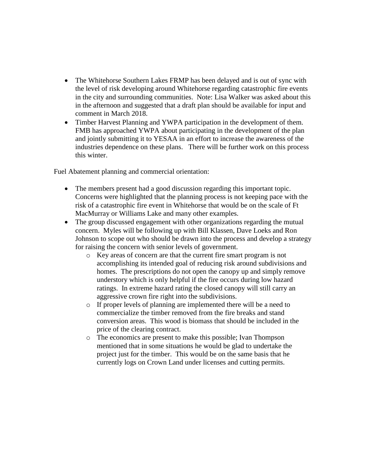- The Whitehorse Southern Lakes FRMP has been delayed and is out of sync with the level of risk developing around Whitehorse regarding catastrophic fire events in the city and surrounding communities. Note: Lisa Walker was asked about this in the afternoon and suggested that a draft plan should be available for input and comment in March 2018.
- Timber Harvest Planning and YWPA participation in the development of them. FMB has approached YWPA about participating in the development of the plan and jointly submitting it to YESAA in an effort to increase the awareness of the industries dependence on these plans. There will be further work on this process this winter.

Fuel Abatement planning and commercial orientation:

- The members present had a good discussion regarding this important topic. Concerns were highlighted that the planning process is not keeping pace with the risk of a catastrophic fire event in Whitehorse that would be on the scale of Ft MacMurray or Williams Lake and many other examples.
- The group discussed engagement with other organizations regarding the mutual concern. Myles will be following up with Bill Klassen, Dave Loeks and Ron Johnson to scope out who should be drawn into the process and develop a strategy for raising the concern with senior levels of government.
	- o Key areas of concern are that the current fire smart program is not accomplishing its intended goal of reducing risk around subdivisions and homes. The prescriptions do not open the canopy up and simply remove understory which is only helpful if the fire occurs during low hazard ratings. In extreme hazard rating the closed canopy will still carry an aggressive crown fire right into the subdivisions.
	- o If proper levels of planning are implemented there will be a need to commercialize the timber removed from the fire breaks and stand conversion areas. This wood is biomass that should be included in the price of the clearing contract.
	- o The economics are present to make this possible; Ivan Thompson mentioned that in some situations he would be glad to undertake the project just for the timber. This would be on the same basis that he currently logs on Crown Land under licenses and cutting permits.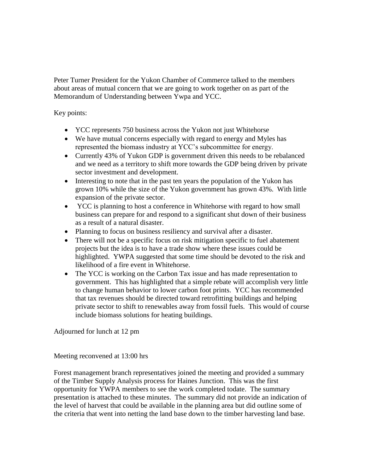Peter Turner President for the Yukon Chamber of Commerce talked to the members about areas of mutual concern that we are going to work together on as part of the Memorandum of Understanding between Ywpa and YCC.

Key points:

- YCC represents 750 business across the Yukon not just Whitehorse
- We have mutual concerns especially with regard to energy and Myles has represented the biomass industry at YCC's subcommittee for energy.
- Currently 43% of Yukon GDP is government driven this needs to be rebalanced and we need as a territory to shift more towards the GDP being driven by private sector investment and development.
- Interesting to note that in the past ten years the population of the Yukon has grown 10% while the size of the Yukon government has grown 43%. With little expansion of the private sector.
- YCC is planning to host a conference in Whitehorse with regard to how small business can prepare for and respond to a significant shut down of their business as a result of a natural disaster.
- Planning to focus on business resiliency and survival after a disaster.
- There will not be a specific focus on risk mitigation specific to fuel abatement projects but the idea is to have a trade show where these issues could be highlighted. YWPA suggested that some time should be devoted to the risk and likelihood of a fire event in Whitehorse.
- The YCC is working on the Carbon Tax issue and has made representation to government. This has highlighted that a simple rebate will accomplish very little to change human behavior to lower carbon foot prints. YCC has recommended that tax revenues should be directed toward retrofitting buildings and helping private sector to shift to renewables away from fossil fuels. This would of course include biomass solutions for heating buildings.

Adjourned for lunch at 12 pm

Meeting reconvened at 13:00 hrs

Forest management branch representatives joined the meeting and provided a summary of the Timber Supply Analysis process for Haines Junction. This was the first opportunity for YWPA members to see the work completed todate. The summary presentation is attached to these minutes. The summary did not provide an indication of the level of harvest that could be available in the planning area but did outline some of the criteria that went into netting the land base down to the timber harvesting land base.